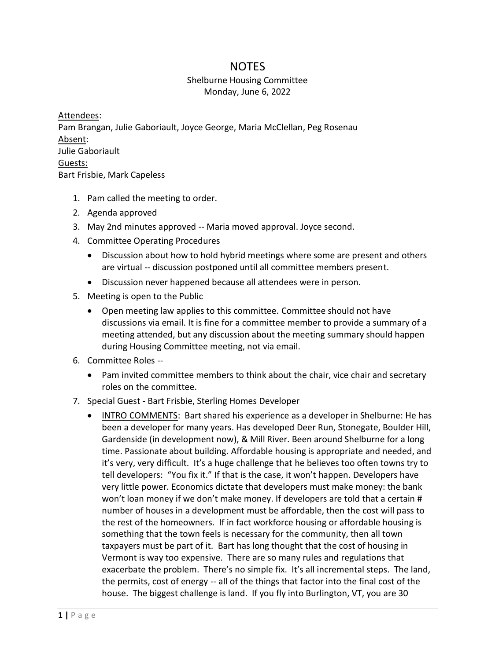## **NOTES**

## Shelburne Housing Committee Monday, June 6, 2022

Attendees: Pam Brangan, Julie Gaboriault, Joyce George, Maria McClellan, Peg Rosenau Absent: Julie Gaboriault Guests: Bart Frisbie, Mark Capeless

- 1. Pam called the meeting to order.
- 2. Agenda approved
- 3. May 2nd minutes approved -- Maria moved approval. Joyce second.
- 4. Committee Operating Procedures
	- Discussion about how to hold hybrid meetings where some are present and others are virtual -- discussion postponed until all committee members present.
	- Discussion never happened because all attendees were in person.
- 5. Meeting is open to the Public
	- Open meeting law applies to this committee. Committee should not have discussions via email. It is fine for a committee member to provide a summary of a meeting attended, but any discussion about the meeting summary should happen during Housing Committee meeting, not via email.
- 6. Committee Roles --
	- Pam invited committee members to think about the chair, vice chair and secretary roles on the committee.
- 7. Special Guest Bart Frisbie, Sterling Homes Developer
	- INTRO COMMENTS: Bart shared his experience as a developer in Shelburne: He has been a developer for many years. Has developed Deer Run, Stonegate, Boulder Hill, Gardenside (in development now), & Mill River. Been around Shelburne for a long time. Passionate about building. Affordable housing is appropriate and needed, and it's very, very difficult. It's a huge challenge that he believes too often towns try to tell developers: "You fix it." If that is the case, it won't happen. Developers have very little power. Economics dictate that developers must make money: the bank won't loan money if we don't make money. If developers are told that a certain # number of houses in a development must be affordable, then the cost will pass to the rest of the homeowners. If in fact workforce housing or affordable housing is something that the town feels is necessary for the community, then all town taxpayers must be part of it. Bart has long thought that the cost of housing in Vermont is way too expensive. There are so many rules and regulations that exacerbate the problem. There's no simple fix. It's all incremental steps. The land, the permits, cost of energy -- all of the things that factor into the final cost of the house. The biggest challenge is land. If you fly into Burlington, VT, you are 30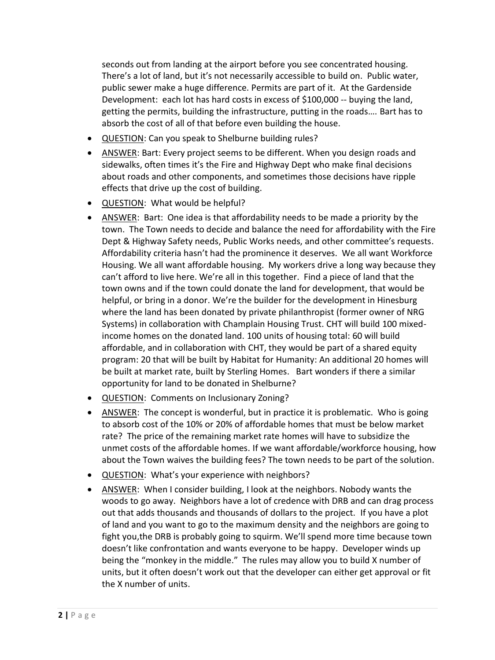seconds out from landing at the airport before you see concentrated housing. There's a lot of land, but it's not necessarily accessible to build on. Public water, public sewer make a huge difference. Permits are part of it. At the Gardenside Development: each lot has hard costs in excess of \$100,000 -- buying the land, getting the permits, building the infrastructure, putting in the roads…. Bart has to absorb the cost of all of that before even building the house.

- QUESTION: Can you speak to Shelburne building rules?
- ANSWER: Bart: Every project seems to be different. When you design roads and sidewalks, often times it's the Fire and Highway Dept who make final decisions about roads and other components, and sometimes those decisions have ripple effects that drive up the cost of building.
- QUESTION: What would be helpful?
- ANSWER: Bart: One idea is that affordability needs to be made a priority by the town. The Town needs to decide and balance the need for affordability with the Fire Dept & Highway Safety needs, Public Works needs, and other committee's requests. Affordability criteria hasn't had the prominence it deserves. We all want Workforce Housing. We all want affordable housing. My workers drive a long way because they can't afford to live here. We're all in this together. Find a piece of land that the town owns and if the town could donate the land for development, that would be helpful, or bring in a donor. We're the builder for the development in Hinesburg where the land has been donated by private philanthropist (former owner of NRG Systems) in collaboration with Champlain Housing Trust. CHT will build 100 mixedincome homes on the donated land. 100 units of housing total: 60 will build affordable, and in collaboration with CHT, they would be part of a shared equity program: 20 that will be built by Habitat for Humanity: An additional 20 homes will be built at market rate, built by Sterling Homes. Bart wonders if there a similar opportunity for land to be donated in Shelburne?
- QUESTION: Comments on Inclusionary Zoning?
- ANSWER: The concept is wonderful, but in practice it is problematic. Who is going to absorb cost of the 10% or 20% of affordable homes that must be below market rate? The price of the remaining market rate homes will have to subsidize the unmet costs of the affordable homes. If we want affordable/workforce housing, how about the Town waives the building fees? The town needs to be part of the solution.
- QUESTION: What's your experience with neighbors?
- ANSWER: When I consider building, I look at the neighbors. Nobody wants the woods to go away. Neighbors have a lot of credence with DRB and can drag process out that adds thousands and thousands of dollars to the project. If you have a plot of land and you want to go to the maximum density and the neighbors are going to fight you,the DRB is probably going to squirm. We'll spend more time because town doesn't like confrontation and wants everyone to be happy. Developer winds up being the "monkey in the middle." The rules may allow you to build X number of units, but it often doesn't work out that the developer can either get approval or fit the X number of units.